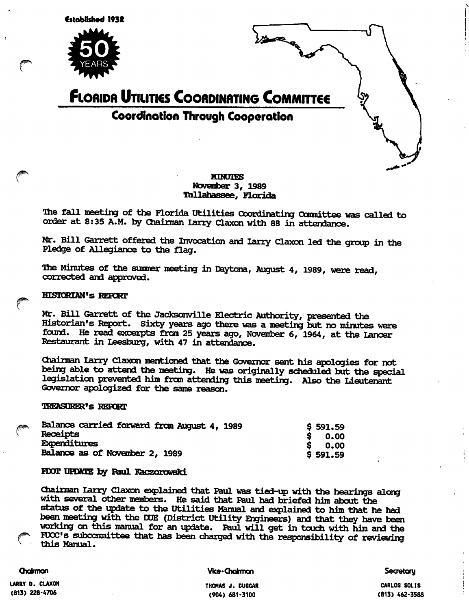

**MINUTES** November 3, 1989 Tallahassee, Florida

The fall meeting of the Florida Utilities Coordinating Committee was called to order at 8:35 A.M. by Chairman larxy daxon with 88 in attendance.

Mr. Bill Garrett offered the Invocation and Larry Claxon led the group in the Pledge of Allegiance to the flag.

The Minutes of the summer meeting in Daytona, August 4, 1989, were read, corrected and approved.

## HISTORIAN'S REPORT

Mr. Bill Garrett of the Jacksonville Electric Authority, presented the Historian's Beport. Sixty years ago there was a meeting but no minutes were found. He read excerpts from 25 years ago, November 6, 1964, at the Lancer Bestaurant in Leesburg, with 47 in attendance.

Chairman Larry Claxon mentioned that the Governor sent his apologies for not being able to attend the meeting. He was originally scheduled but the special legislation prevented him from attending this meeting. Also the Lieutenant Governor apologized for the same reason.

#### TREASURER's REPORT

|               | TREASURER'S REPORT                                                                                                      |                                      |  |  |
|---------------|-------------------------------------------------------------------------------------------------------------------------|--------------------------------------|--|--|
| <b>Common</b> | Balance carried forward from August 4, 1989<br><b>Receipts</b><br><b>Expenditures</b><br>Balance as of November 2, 1989 | \$591.59<br>0.00<br>0.00<br>\$591.59 |  |  |
|               |                                                                                                                         |                                      |  |  |

## FDOT UPDATE by Paul Kaczorowski

Chairman Iarry Claxon explained that Paul was tied-up with the hearings along with several other members. He said that Paul had briefed him about the status of the update to the Utilities Manual and explained to him that he had been meeting with the DUE (District Utility Engineers) and that they have been working on this manual for an update. Paul will get in touch with him and the FUCC's subcommittee that has been charged with the responsibility of reviewing ^ this Manual.

#### Chairman Secretary Secretary (1999) - Secretary (1999) - Vke-Chairman Secretary Secretary Secretary

LARRY D. CLAXON CARLOS SOLIS <813) 228-A706 ^904j 681-3100 (813) 462-3588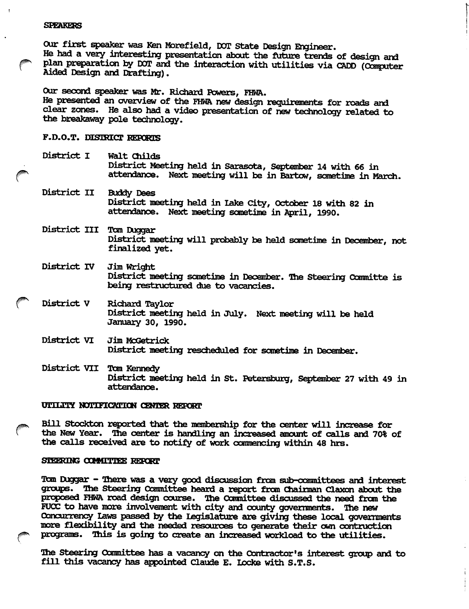## SFEAKERS

Our first speaker was Ken Morefield, DOT State Design Engineer. He had a very interesting presentation about the future trends of design and plan preparation by DOT and the interaction with utilities via CADD (Computer Aided Design and Drafting).

Our second speaker was Mr. Richard Powers, FHWA. He presented an overview of the FMHA new design requirements for roads and clear zones. He also had a video presentation of new technology related to the breakaway pole technology.

## F.D.O.T. DISIRICT REPORTS

- District I Walt Childs District Meeting held in Sarasota, September 14 with 66 in attendance. Next meeting will be in Bartow, sometime in March.
- District II Buddy Dees District meeting held in Lake City, October 18 with 82 in attendance. Next meeting sometime in April, 1990.
- District III Tcm Duggar District meeting will probably be held sometime in December, not finalized yet.
- District IV Jim Wright District meeting sometime in December. Ihe Steering Ccmmitte is being restructured due to vacancies.
- District V Richard Taylor District meeting held in July. Next meeting will be held January 30, 1990.
	- District VI Jim McGetrick District meeting rescheduled for sometime in December.
	- District VII Tom Kennedy District meeting held in St. Petersburg, September 27 with 49 in attendance.

## UTILITY NOTIFICATION CENTER REPORT

Bill Stockton reported that the menbership for the center will increase for the New Year. The center is handling an increased amount of calls and 70% of the calls received are to notify of work commencing within 48 hrs.

## STEERING COMMITTEE REPORT

Tom EXiggar - Ihere was a very good discussion from sub-committees and interest groups. The Steering Committee heard a report from Chairman Claxon about the proposed FHKA road design course. The Gonmittee difsaissed the need from the FUCC to have more involvement with city and county governments. The new Concurrency Laws passed by the Legislature are giving these local governments more flexibility and the needed resources to generate their own contruction programs. This is going to create an increased workload to the utilities.

The Steering Oommittee has a vacancy on the Contractor's interest grocp and to fill this vacancy has appointed Claude E. Locke with S.T.S.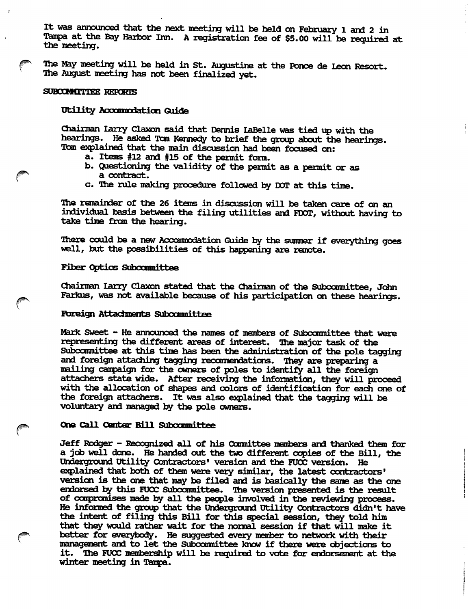It was announced that the next meeting will be held on February 1 and 2 in Tanpa at the Bay Harbor Inn. A registration fee of \$5.00 will be required at the meeting.

The May meeting will be held in St. Augustine at the Ponce de Leon Resort. The August meeting has not been finalized yet.

#### SUBOCHMITTEE REPORTS

## Utility Aoccnmodaticn Guide

Chairaan Larry Claxon sadd that Dennis LaBelle was tied \ip with the hearings. He asked Tom Kennedy to brief the group about the hearings. Tom explained that the main discussion had been focused on:

- a. Items #12 and #15 of the permit form.
- b. Questioning the validity of the permit as a permit or as a contract.
- c. The rule making procedure followed by DOT at this time.

The remainder of the 26 items in discussion will be taken care of on an individual basis between the filing utilities and FDOT, without having to take time from the hearing.

There could be a new Accommodation Guide by the summer if everything goes well, but the possibilities of this happening are remote.

# Fiber Optics Subocnmittee

Chairman Larry Claxon stated that the Chairman of the Subcommittee, John Farkus, was not available because of his participation on these hearings.

## Foreign Attachments Subocnmittee

Mark Sweet - He announced the names of members of Subcommittee that were representing the different areas of interest. The major task of the Subcommittee at this time has been the administration of the pole tagging and foreign attaching tagging recommendations. They are preparing a mailing campaign for the owners of poles to identify all the foreign attachers state wide. After receiving the information, they will proceed with the allocation of shapes and colors of identification for each one of the foreign attachers. It was also explained that the tagging will be voluntary and managed by the pole owners.

### One Gall Center Bill Subcomnittee

Jeff Rodger - Recognized all of his Ccomittee members and thanked them for a job well done. He handed out the two different copies of the Bill, the Underground Utility Contractors' version and the FUOC version. He explained that both of them were very similar, the latest contractors' version is the one that may be filed and is basically the same as the one endorsed by this FUCC Subcommittee. The version presented is the result of oonpromises made by all the people involved in the reviewing process. He informed the group that the Uhderground Utility Contractors didn't have the intent of filing this Bill for this special session, they told him that they would rather wait for the normal session if that will make it better for everybody. He suggested every menber to network with their management and to let the Subcommittee know if there were objections to it. The FUCC membership will be required to vote for endorsement at the winter meeting in Tanpa.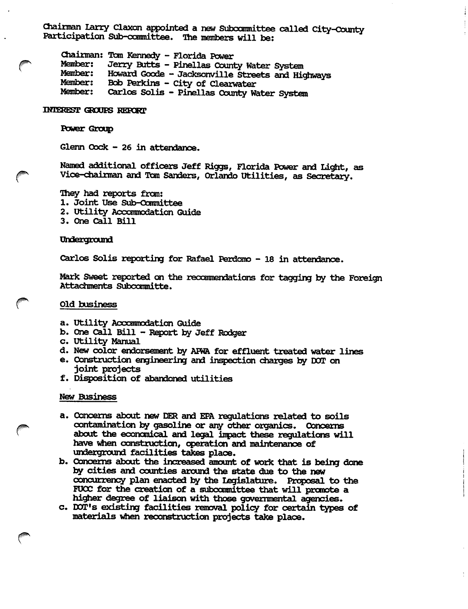Chairman Larry Claxon appointed a new Subcommittee called City-County Participation Sub-committee. The members will be:

Chairman: Tom Kennecfy - Florida Power Member: Jerry Butts - Pinellas County Water System<br>Member: Howard Goode - Jacksonville Streets and Hig Member: Howard Goode - Jacksonville Streets and Highways<br>Member: Bob Perkins - City of Clearwater Member: Bob Perkins - City of Clearwater<br>Member: Carlos Solis - Pinellas County Wa Carlos Solis - Pinellas County Water System

## INCEKEST GROOPS REPCRT

#### Power Group

Glenn Cock - 26 in attendance.

Named additional officers Jeff Riggs, Florida Power and Light, as Vioe-chairman and Tom Sanders, Orlando Utilities, as Secretary.

They had reports from:

- 1. Joint Use Sub-Committee
- 2. Utility Accommodation Guide
- 3. One Call Bill

#### Uhderground

Carlos Solis reporting for Rafael Perdomo - 18 in attendance.

Mark Sweet reported on the recommendations for tagging by the Foreign Attachments Subcommitte.

### Old business

- a. Utility Acoommodation Guide
- b. One Call Bill Report by Jeff Rodger
- c. Utility Manual
- d. New color endorsement by APWA for effluent treated water lines
- e. Construction engineering and inspection charges by DOT on joint projects
- f. Disposition of abandoned utilities

### New Business

- a. Concerns about new DER and EPA regulations related to soils contamination by gasoline or any other organics. Concerns about the eocnomical and legal impact these regulations will have vhen ccnstructicn, operation and maintenanoe of underground facilities takes place.
- b. Concerns about the increased amount of work that is being done by cities and counties around the state due to the new concurrency plan enacted by the Legislature. Proposal to the FUCC for the creation of a subcommittee that will promote a higher degree of liaison with those governmental agencies.
- c. DOT'S existing facilities removal policy for certain types of materials vhen reoonstructicn projects take place.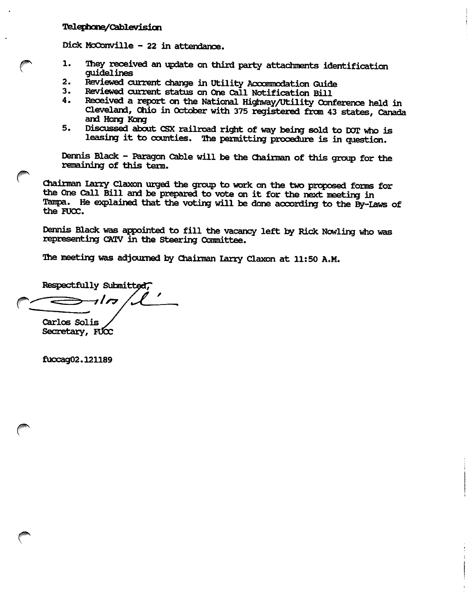# Telephone/Cablevision

Dick MoOonville - 22 in attendance.

- 1. They received an update on third party attachments identification guidelines
- 2. Reviewed current change in Utility Aoccnmodation Guide
- 3. Reviewed current status on One Call Notification Bill
- 4. Received a report on the National Highway/Utility Conference held in Cleveland, Ohio in October with 375 registered from 43 states, Canada and Hong Kong
- 5. Discussed about CSX railroad right of way being sold to DOT who is leasing it to counties. Ihe permitting procedure is in question.

Dennis Black - Paragon Cable will be the Chairman of this group for the remaining of this term.

Chairman Larry Claxon urged the group to work on the two proposed forms for the One Call Bill and be prepared to vote on it for the next meeting in Tampa. He explained that the voting will be done according to the By-Laws of the FUCC.

Dennis Black was appointed to fill the vacancy left by Rick Nowling who was representing CATV in the Steering Committee.

Ihe meeting was adjourned by Chairman larry Claxon at 11:50 A.M.

Respectfully Submit ィノノフ

Carlos Solis Secretary, FUCC

fuccag02.121189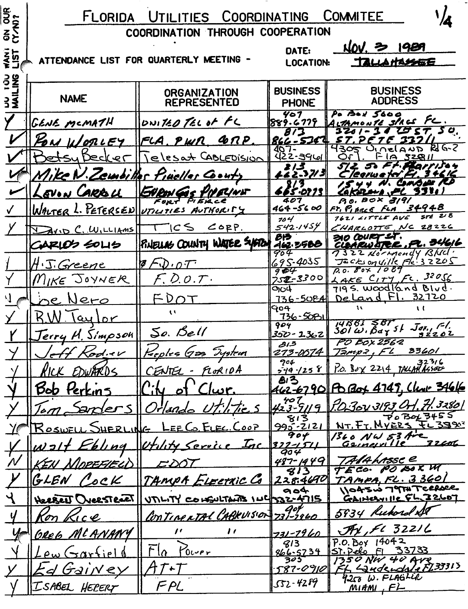| <b>ESC 2017</b>   | <b>FLORIDA</b>                                                              | UTILITIES COORDINATING                                |                                        | <b>COMMITEE</b>                                          |
|-------------------|-----------------------------------------------------------------------------|-------------------------------------------------------|----------------------------------------|----------------------------------------------------------|
|                   |                                                                             | COORDINATION THROUGH COOPERATION                      |                                        |                                                          |
| ことこ               |                                                                             |                                                       | DATE:                                  | NOV. 2><br>1989                                          |
|                   | ATTENDANCE LIST FOR QUARTERLY MEETING -<br>てふししん 什ちメダ伝石<br><b>LOCATION:</b> |                                                       |                                        |                                                          |
| ខ្ទិទ្ឋ           |                                                                             | <b>ORGANIZATION</b>                                   | <b>BUSINESS</b>                        | <b>BUSINESS</b>                                          |
| <u><br/>ខ្ញុំ</u> | <b>NAME</b>                                                                 | <b>REPRESENTED</b>                                    | <b>PHONE</b><br>407                    | <b>ADDRESS</b><br>Po BOY 5600                            |
|                   | GENE MCMATH                                                                 | DWITED TEL OF FL                                      | 1889.6779<br>813                       | ALTAMONTE SPACE FL.                                      |
|                   | FON WORLEY                                                                  | FLA PWR GRP                                           | <u>866 - 5767</u>                      | 4305<br><b>Rd</b> G-2<br>nelawp.                         |
|                   | Jetsy Decker                                                                | Telesat CaBLEDisiON                                   | 267-<br>422-3961                       | I-IA<br>82.QX 1.<br>Or<br>Fr. Marrison                   |
|                   |                                                                             | Mike N. Zembilles Prueller County                     | 213<br>462.37/3                        | S/2 IZ<br><u> Cqrward Ft.</u> 346K                       |
|                   | <u>LEVON CARBUL</u>                                                         | <b>GIRENGES PRELIVE</b>                               | <b>2/3</b><br>F <i>ES</i> ·0773<br>407 | ISYY N. COMBAZ RP<br>CAKERALA, FL 3311                   |
|                   |                                                                             | FORT PIERCE<br>WALTER L. PETERSEN UTILITIES AUTHORITY | 464-5600                               | $B$ o. BOX $3/9/$<br>Fr, PIERCE FLA 34948<br>str 2.8     |
|                   | $L_{AVD}$ $C$ . $W_{1}$ LLIAMS                                              | $IC \leq$<br>$C$ $\circ$ $RP.$                        | 70 Y<br>542-1454                       | 1621 LITTLE AVE<br>CHARLOTTE, NC 28226                   |
|                   | <b>SARIOS SOLIS</b>                                                         | RUELLAS COUNTY WATER SYSTEM                           | $B\overline{B}$<br>462.5588            | 310 COVER ST.<br>CLEARWERE, FL. 34616                    |
|                   | H.J.Greene                                                                  |                                                       | 904<br>$695 - 4035$                    | 7322 Normandy Bluch.<br>JECKSOMUille Fle: 32205          |
|                   | MIKE JOYNER                                                                 | $F_{\cdot}$ D.O.T $\cdot$                             | 9 O.F<br>752-3300                      | $0.0.80\times 1009$<br><u>LAKE CITY FC. 32056</u>        |
|                   | ze Nero                                                                     | FDOT                                                  | 904<br>736-5084                        | $7195.$ woodland Blud.<br>32720<br>De <u>land</u> H      |
|                   | $\omega$ or                                                                 | $\mathbf{u}$                                          | 904<br><u>736-50BI</u>                 | $\mathbf{1}$<br>ŧτ                                       |
|                   | Terry H. Simpson                                                            | So. Bell                                              | 904<br>350-2362                        | $\frac{14881}{301} \frac{587}{41}$ st $\frac{54}{32202}$ |
|                   | Kodiev                                                                      | <i><u>Feeples Gas Dystein</u></i>                     | 813<br>273-0674                        | PO BOX 2562<br><u>33601</u><br>Tamp2, FL                 |
|                   | KICK EDWARDS                                                                | $F_{LOR10A}$<br><u>CENTEL -</u>                       | 904<br>$549 - 1258$                    | $70.88x2214$ , TALARASSEE                                |
|                   | Bob Perkins                                                                 | <u> Clurc</u>                                         | 813                                    | 462-6790 Po Box 4749, Clare 346/6                        |
|                   | <u>yer s</u>                                                                | <u> Tic s</u><br><u>Urlando</u>                       | $423 - 9119$                           | <u>7.0.3043193.0+1.71.32801</u>                          |
|                   | SHERLING<br>KOSWEI                                                          | <u>ELEC.COOP</u>                                      | 813<br>$995 - 2121$                    | $P_0$ Box 3455<br>NT. FT. MYERS FL399.                   |
|                   |                                                                             | $\mathcal{I}$ nc<br>Service<br>$\nu$ tılıtı $\nu$     | 9o f<br>3 <i>72-1511</i>               | $1360$ NW 53 Are<br>Grineville<br><u> 32606 </u>         |
|                   | <u>NIDPEFIELI</u>                                                           |                                                       | 90 Y<br>487-1949                       | TAIAHASSC C                                              |
|                   | GLEN COCK                                                                   | TAMPA ELECTRIC CO                                     | 813<br><u>228.4690</u>                 | TECO. PO BOKW<br><u>TAMPA. FL. 33601</u>                 |
|                   | Heerest CreesTeacT                                                          | UTILITY CONSULTAIRS INC 32-4715                       | 904                                    | HOASIO TOTH TCEROCE<br>GAINERVILLE FL. 32607             |
|                   | Kice<br>Kon                                                                 | Continental CABRUISION 731-2960                       |                                        | 5834 Richard St                                          |
|                   | GREG MLANANY                                                                | $\mathbf{r}$                                          | $731 - 7960$                           | FH, FL 32216                                             |
|                   |                                                                             | $\epsilon$ 000 $\epsilon$ r                           | 313<br>866-5734                        | $P.0.$ Boy $14042$<br>33733<br>ST.Pele FI                |
|                   | Gainey                                                                      |                                                       | 305<br>587-0910                        | 1350 NW 40 AVR<br>$424$ deuchs/e $E23313$                |
|                   | ISABEL HELERT                                                               | FPL                                                   | 552-4289                               | 9250 W. FLAGLER<br>MIM                                   |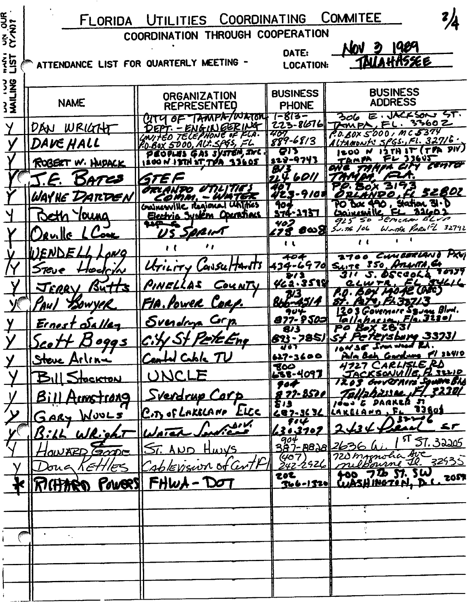|                           | <b>FLORIDA</b>         | <b>COORDINATING</b><br>UTILITIES                           |                                 | <b>COMMITEE</b>                                                                       |
|---------------------------|------------------------|------------------------------------------------------------|---------------------------------|---------------------------------------------------------------------------------------|
| DA<br>こくこ<br>こくこ          |                        | COORDINATION THROUGH COOPERATION                           |                                 | 1989<br><b>NOV</b>                                                                    |
| こうこ                       |                        | ATTENDANCE LIST FOR QUARTERLY MEETING -                    | DATE:<br><b>LOCATION:</b>       | ТИЛНН5ЯЕ                                                                              |
| <b>JANTING</b><br>MVILING | <b>NAME</b>            | <b>ORGANIZATION</b><br><b>REPRESENTED</b>                  | <b>BUSINESS</b><br><b>PHONE</b> | <b>BUSINESS</b><br><b>ADDRESS</b>                                                     |
|                           | DAN WRIGHT             | UTY OF TAMPA/WATON<br><u> DEPT - ENGINGERING</u>           | <u> 7-813 -</u><br>223-8676     | E. JACKSON ST.<br>ZO6<br>, F1.33602<br>TAMPA<br>P.O.BOX 5000, MC 5374                 |
|                           | DAVE HALL              | INITED TELEPHONE OF FLA.<br>P.O.Box 5000, ALT. SPGS, FL    | 467<br>889-6813                 | CTAMONTS SPGS., FL. 32716.<br>ISTH IT (TPA DIV)                                       |
|                           | ROBERT W. HUDACK       | EOPLES GAS <i>SYSTEM, IN</i> C<br>1800 N 13TH ST TPA 33605 | 213<br>128-9743<br>B/ 3         | $1200$ $M$<br>FL 33605<br>TAMPA<br>conter<br><b>ON</b>                                |
|                           | J.E. BATES             | GTEF <sup></sup>                                           | ZLY 6011<br>40                  | <b>BOX</b>                                                                            |
|                           | WAYNE DARDEN           | 7 <i>LITIE .</i><br>WATER                                  | 423-9101<br>904                 | <u>52802</u><br>490, Skation 31·D<br><b>DUK</b><br>YO.                                |
|                           | Deth Young             | Gainesville Regional Unifies<br>- стол<br>Electric System  | 574-2137                        | FL 31602<br>lle.<br>فعسنمحا<br>925 50 SEMCRAN BLVD                                    |
|                           | Keulle<br>عدونا        | <b>115-4</b><br>US SARIM                                   | 402<br><u> 678 BAS</u>          | Worth PARNEL 32792<br>5.76/06                                                         |
|                           | WENDELL<br><b>ANO</b>  | , ,                                                        | tι<br>नवम                       | <b>PXVI</b><br>2700 CUMBERLAND                                                        |
|                           | Sreve<br>tociciw       | Utility Cassultants                                        |                                 | 434-6970 Suite 350, Anarth, Co<br>0759<br>DSCCOLÁ<br>31 I                             |
|                           | Butts<br>JERRY         | PINELLAS<br><u>COUNTY</u>                                  | 462.3518                        | <u>EL SYLIL</u><br>QLW TI                                                             |
|                           | <b>BOWYPR</b><br>Paul  | FIA. Power Corp.                                           | 866-45/4                        |                                                                                       |
|                           | Ernost Salley          | Svendrya Crp.                                              | ウジナ<br>877- PS00                | 203 Governore Syven Blud.<br><u>a., Fla, 3280)</u><br>7 <sub>o</sub><br>Po B<br>メ て合い |
|                           | <u>Boggs</u><br>cett   | City St PeteEne                                            | 813                             | 823-7851 S <del>J</del> Petersburg 33731                                              |
|                           | <u>Steve Arline</u>    | Cantal Cable TV                                            | यग<br>$627 - 3600$              | 10436 Inn wood R.<br>Palm Beh Gardwa Fl 36410                                         |
|                           | <b>Bill Stockton</b>   |                                                            | ೯ಂಲ<br>638-4097                 | 4727 CARLISLERD<br>JACKSONVILLE. FL SELID<br>Grov WAIrs Square Bhb                    |
|                           | Armstrang              | Sverdrup Carp                                              | 10A<br>872-8500                 | <u>7 22301</u>                                                                        |
|                           | GARY WOULS             | C.T. of LAKELAND ELCC                                      | とほ<br><u>687-36361</u>          | PARI<br>jéas E<br>33601<br>LAKELAND, FL                                               |
|                           | WR:ohi                 |                                                            | 2303702                         | $\mathbf{r}$                                                                          |
|                           | JOWARD GOODE           | ST. AND<br>Huws                                            | $\frac{904}{387 - 8838}$        | 57.32205<br>2636                                                                      |
|                           | Ioug KEHIES            | Ablevision of Centry                                       | (407)<br>242-2926               | AUT<br>720 macni<br><u>32935</u><br>milbourn                                          |
|                           | RIHARD POWERS FHWA-DOT |                                                            | 202                             | 100, 72, 51, 50<br>2057<br>366-1520 CUASHINGTON,                                      |
|                           |                        |                                                            |                                 |                                                                                       |
|                           |                        |                                                            |                                 |                                                                                       |
|                           |                        |                                                            |                                 |                                                                                       |
|                           |                        |                                                            |                                 |                                                                                       |
|                           |                        |                                                            |                                 |                                                                                       |
|                           |                        |                                                            |                                 |                                                                                       |
|                           |                        |                                                            |                                 |                                                                                       |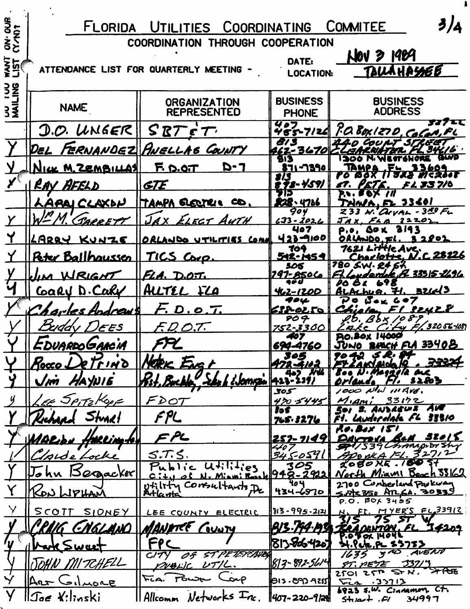|                         |                                 | FLORIDA UTILITIES COORDINATING            |                                 | <b>COMMITEE</b>                                                      |
|-------------------------|---------------------------------|-------------------------------------------|---------------------------------|----------------------------------------------------------------------|
| <b>ON-OUR</b><br>CY/N)1 |                                 | COORDINATION THROUGH COOPERATION          |                                 |                                                                      |
| דאאז<br>LIST            |                                 | ATTENDANCE LIST FOR QUARTERLY MEETING -   | DATE:<br><b>LOCATION:</b>       | 1989<br>NOV 2<br>\HAYAEE                                             |
| $\frac{32}{2}$<br>33    | <b>NAME</b>                     | <b>ORGANIZATION</b><br><b>REPRESENTED</b> | <b>BUSINESS</b><br><b>PHONE</b> | <b>BUSINESS</b><br><b>ADDRESS</b><br>377 TT                          |
|                         | $J.O.$ $UNGER$                  | $SRT$ $F$                                 | 407<br>455-7124                 | P.O. Box 1270, Color, FL                                             |
|                         |                                 | DEL FERNANDEZ ANELLAS COUNTY              | 813<br>62-3670<br>513           | 40 COUPS STREET<br>G.A.C.WA<br>FIERS FL<br><b>300 N.WI</b>           |
|                         | CE M. ZEMBILLAS                 | <u>F. D.O.T</u><br>ר -ם                   | 871-7390                        | MPA .Fu 33609<br>box II yas McQoof                                   |
|                         | <b>RAY AFELD</b>                | GTE                                       | 813<br>878-4591<br>715          | FL 337/6                                                             |
|                         | <u>LARAICLAXEN</u>              | MAMPA SLECTRIC CO.                        | S28 - 4756                      | <u>THALA, EL 33401</u>                                               |
|                         | W-M. GARRETT                    | JAX ELECT AUTH                            | 90Y<br>633-2026                 | 233 W. arvan - 320 FL<br>$Jax$ , $FA$ $32202$                        |
|                         | <u>LARRY KUNZE</u>              | ORLANDO UTILITIES COMM                    | 407<br>$423 - 9100$             | 3193<br>P.O. SOK<br><u> 12802</u><br>ORUNDO EL                       |
|                         | <u> Peter Ballhaussen</u>       | TICS Corp.                                | 709<br>542-1454                 | 7621 Little Ave.<br>_Charlotts, N.C. 28226                           |
|                         | IM WRIGHT                       | FLA. D.O.T.                               | 506<br><u> 191-8506</u>         | 780 S.W. 24 ST<br><u>Londardok .ff 33315 2696</u>                    |
|                         | Coary D. Cary                   | HLTEL FLA                                 | rë U<br>462-1200                | 96<br><u> 71. 326</u> 13<br>ALAChua.                                 |
|                         | harles Andrews                  | F. D. o. T.                               | 4ou<br>658-0250                 | <u>EL SZUZ 8</u><br>Chiale                                           |
|                         | <i><b>Buddy</b></i><br>EES      |                                           | 90 9                            | $L_{y} = 32056 + 108$                                                |
|                         |                                 | F.D.O.T.                                  | 752-3300<br>407                 | <b>P.O.BOX 14009</b>                                                 |
|                         | EDUARDOGAACIA                   |                                           | 694-4760<br>305                 | JUNO BARCH FLA 3340B<br>70 H2                                        |
|                         | Rocco Detrino                   | HERK ENG!                                 | 922-4112<br>402 1/16            | <b>INTERNATIONAL</b><br>N·Magaila acc                                |
|                         | <u>Jim HAYNIE</u>               | <u>i Jamra</u>                            | <u>   423-239/</u><br>505       | $H$ , $32.02$<br><u>orienda</u><br>$1000$ $N^{l}$ $\omega$ $11446$ . |
|                         | EE SPITZKOPF                    | FDOT                                      | 470-5445<br>505                 | Migni 33172<br>SOI S. ANDREWS AVE                                    |
|                         | <b>Stune!</b><br>Kreha <u>n</u> | FPL                                       | 765. 3276                       | F1. Lauderdale FL 33310                                              |
|                         | MARION                          | FPL                                       |                                 | RO.BOX 151<br><u>257-7149 Davrova Ren szols</u>                      |
|                         | Claide Locke                    | S.T.S.                                    | 407<br><u>345-0591</u>          | 591/539 Changershy<br>APONKA FL. 32712                               |
|                         | John Bergacker                  | $U + i$<br>Kublic<br><u>. N. Miami Ro</u> | 305<br><u> 1948-2922</u>        | North Miami Booch 33162                                              |
|                         | KON LIPHAM                      | utility consultants, The<br>Atlants       | 404<br>434-6970                 | 2700 Cumberland Parkway<br>$5.7250$ An. $64.30335$                   |
|                         |                                 |                                           |                                 | $P.0.$ BOX 3455<br>FT. MYER'S FL33912                                |
|                         | SCOTT<br>SIDNEY                 | LEE COUNTY ELECTRIC                       | }13-99 <u>5-2121</u>            | 75 ST                                                                |
|                         | <u>CNALANO</u>                  | MANATEE COUNTY<br>FPC                     | 813-866-4207                    | DENTON, FL<br>P.O.Fox HOYL                                           |
|                         | <u>s wees</u>                   | OS STPETERBURG                            |                                 | 54.Pek.PL 23783<br>THE AVENT                                         |
|                         | MI TCHELL                       | <u>MALIC UTIL.</u>                        | 1813-892-5614                   | <u>ST. PETE</u><br>737/7<br>$2501257$ Sr N.                          |
|                         | ART GILLORE                     | Fia. Power Loup                           | ମଧ୍ୟା <i>ଓ ଜ</i> ୋକା            | <u> 133713ء م</u><br>6823 S.W. Cinnamon Ct.                          |
|                         | llJoe K:linski                  | Allcomm Networks Inc.                     | $1407 - 220 - 9120$             | $5 + i\alpha + 0.5i$<br>34997                                        |

A